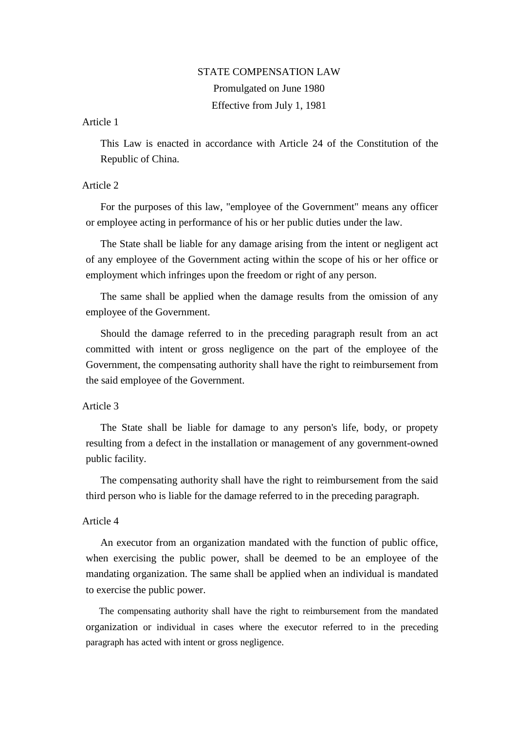## STATE COMPENSATION LAW

Promulgated on June 1980 Effective from July 1, 1981

Article 1

This Law is enacted in accordance with Article 24 of the Constitution of the Republic of China.

# Article 2

For the purposes of this law, "employee of the Government" means any officer or employee acting in performance of his or her public duties under the law.

The State shall be liable for any damage arising from the intent or negligent act of any employee of the Government acting within the scope of his or her office or employment which infringes upon the freedom or right of any person.

The same shall be applied when the damage results from the omission of any employee of the Government.

Should the damage referred to in the preceding paragraph result from an act committed with intent or gross negligence on the part of the employee of the Government, the compensating authority shall have the right to reimbursement from the said employee of the Government.

# Article 3

The State shall be liable for damage to any person's life, body, or propety resulting from a defect in the installation or management of any government-owned public facility.

The compensating authority shall have the right to reimbursement from the said third person who is liable for the damage referred to in the preceding paragraph.

## Article 4

An executor from an organization mandated with the function of public office, when exercising the public power, shall be deemed to be an employee of the mandating organization. The same shall be applied when an individual is mandated to exercise the public power.

The compensating authority shall have the right to reimbursement from the mandated organization or individual in cases where the executor referred to in the preceding paragraph has acted with intent or gross negligence.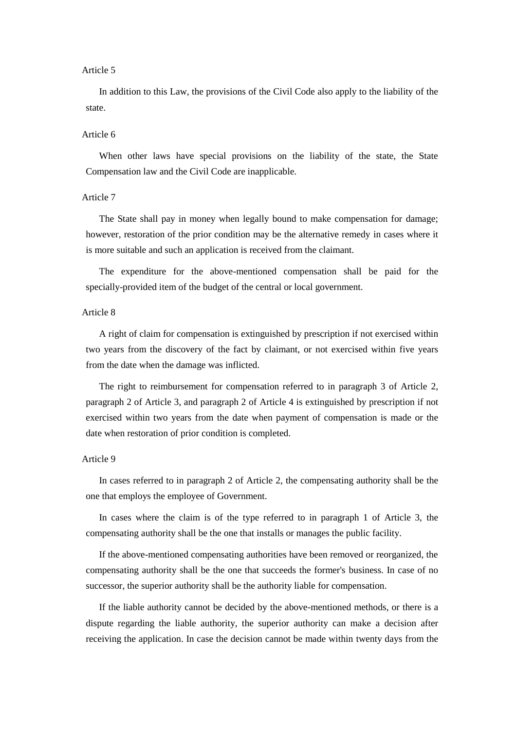#### Article 5

In addition to this Law, the provisions of the Civil Code also apply to the liability of the state.

#### Article 6

When other laws have special provisions on the liability of the state, the State Compensation law and the Civil Code are inapplicable.

#### Article 7

The State shall pay in money when legally bound to make compensation for damage; however, restoration of the prior condition may be the alternative remedy in cases where it is more suitable and such an application is received from the claimant.

The expenditure for the above-mentioned compensation shall be paid for the specially-provided item of the budget of the central or local government.

### Article 8

A right of claim for compensation is extinguished by prescription if not exercised within two years from the discovery of the fact by claimant, or not exercised within five years from the date when the damage was inflicted.

The right to reimbursement for compensation referred to in paragraph 3 of Article 2, paragraph 2 of Article 3, and paragraph 2 of Article 4 is extinguished by prescription if not exercised within two years from the date when payment of compensation is made or the date when restoration of prior condition is completed.

### Article 9

In cases referred to in paragraph 2 of Article 2, the compensating authority shall be the one that employs the employee of Government.

In cases where the claim is of the type referred to in paragraph 1 of Article 3, the compensating authority shall be the one that installs or manages the public facility.

If the above-mentioned compensating authorities have been removed or reorganized, the compensating authority shall be the one that succeeds the former's business. In case of no successor, the superior authority shall be the authority liable for compensation.

If the liable authority cannot be decided by the above-mentioned methods, or there is a dispute regarding the liable authority, the superior authority can make a decision after receiving the application. In case the decision cannot be made within twenty days from the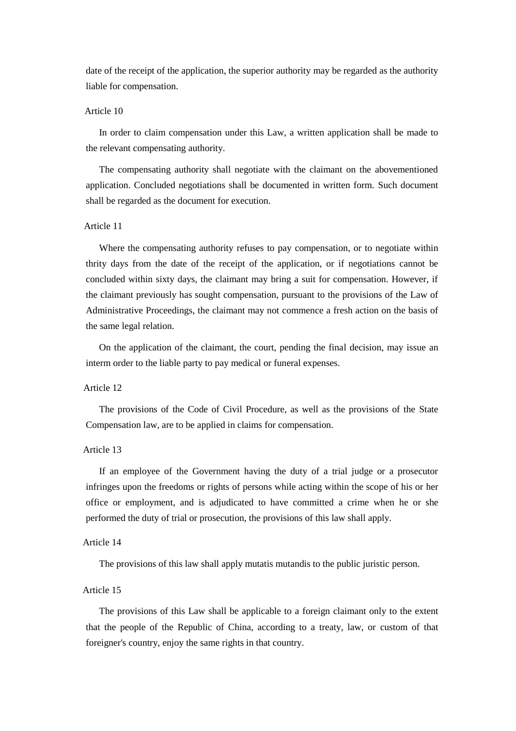date of the receipt of the application, the superior authority may be regarded as the authority liable for compensation.

## Article 10

In order to claim compensation under this Law, a written application shall be made to the relevant compensating authority.

The compensating authority shall negotiate with the claimant on the abovementioned application. Concluded negotiations shall be documented in written form. Such document shall be regarded as the document for execution.

### Article 11

Where the compensating authority refuses to pay compensation, or to negotiate within thrity days from the date of the receipt of the application, or if negotiations cannot be concluded within sixty days, the claimant may bring a suit for compensation. However, if the claimant previously has sought compensation, pursuant to the provisions of the Law of Administrative Proceedings, the claimant may not commence a fresh action on the basis of the same legal relation.

On the application of the claimant, the court, pending the final decision, may issue an interm order to the liable party to pay medical or funeral expenses.

### Article 12

The provisions of the Code of Civil Procedure, as well as the provisions of the State Compensation law, are to be applied in claims for compensation.

#### Article 13

If an employee of the Government having the duty of a trial judge or a prosecutor infringes upon the freedoms or rights of persons while acting within the scope of his or her office or employment, and is adjudicated to have committed a crime when he or she performed the duty of trial or prosecution, the provisions of this law shall apply.

#### Article 14

The provisions of this law shall apply mutatis mutandis to the public juristic person.

#### Article 15

The provisions of this Law shall be applicable to a foreign claimant only to the extent that the people of the Republic of China, according to a treaty, law, or custom of that foreigner's country, enjoy the same rights in that country.